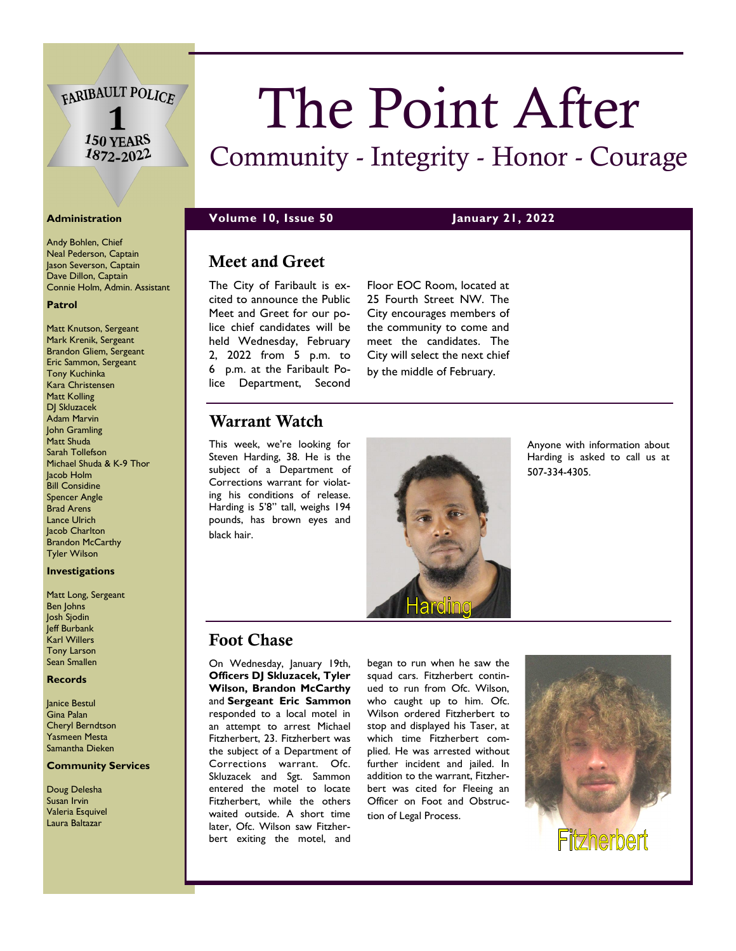FARIBAULT POLICE

150 YEARS  $1872 - 2022$ 

Andy Bohlen, Chief Neal Pederson, Captain Jason Severson, Captain Dave Dillon, Captain Connie Holm, Admin. Assistant

#### **Patrol**

Matt Knutson, Sergeant Mark Krenik, Sergeant Brandon Gliem, Sergeant Eric Sammon, Sergeant Tony Kuchinka Kara Christensen Matt Kolling DJ Skluzacek Adam Marvin John Gramling Matt Shuda Sarah Tollefson Michael Shuda & K-9 Thor Jacob Holm Bill Considine Spencer Angle Brad Arens Lance Ulrich Jacob Charlton Brandon McCarthy Tyler Wilson

#### **Investigations**

Matt Long, Sergeant Ben Johns Josh Sjodin Jeff Burbank Karl Willers Tony Larson Sean Smallen

#### **Records**

Janice Bestul Gina Palan Cheryl Berndtson Yasmeen Mesta Samantha Dieken

#### **Community Services**

Doug Delesha Susan Irvin Valeria Esquivel Laura Baltazar

# The Point After

# Community - Integrity - Honor - Courage

**Administration Volume 10, Issue 50 January 21, 2022**

## Meet and Greet

The City of Faribault is excited to announce the Public Meet and Greet for our police chief candidates will be held Wednesday, February 2, 2022 from 5 p.m. to 6 p.m. at the Faribault Police Department, Second

Floor EOC Room, located at 25 Fourth Street NW. The City encourages members of the community to come and meet the candidates. The City will select the next chief by the middle of February.

# Warrant Watch

This week, we're looking for Steven Harding, 38. He is the subject of a Department of Corrections warrant for violating his conditions of release. Harding is 5'8" tall, weighs 194 pounds, has brown eyes and black hair.



Anyone with information about Harding is asked to call us at 507-334-4305.

# Foot Chase

On Wednesday, January 19th, **Officers DJ Skluzacek, Tyler Wilson, Brandon McCarthy** and **Sergeant Eric Sammon** responded to a local motel in an attempt to arrest Michael Fitzherbert, 23. Fitzherbert was the subject of a Department of Corrections warrant. Ofc. Skluzacek and Sgt. Sammon entered the motel to locate Fitzherbert, while the others waited outside. A short time later, Ofc. Wilson saw Fitzherbert exiting the motel, and

began to run when he saw the squad cars. Fitzherbert continued to run from Ofc. Wilson, who caught up to him. Ofc. Wilson ordered Fitzherbert to stop and displayed his Taser, at which time Fitzherbert complied. He was arrested without further incident and jailed. In addition to the warrant, Fitzherbert was cited for Fleeing an Officer on Foot and Obstruction of Legal Process.